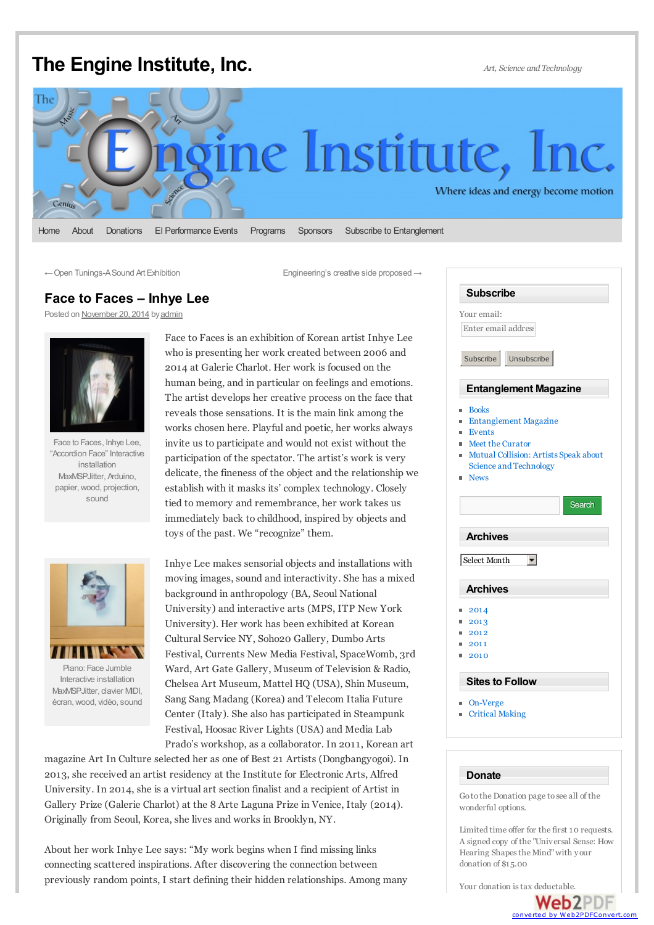## <span id="page-0-1"></span><span id="page-0-0"></span>**The Engine [Institute,](http://theengineinstitute.org/) Inc.** *Art, Science and Technology*

## ine Institute, Where ideas and energy become motion Genius

[Home](http://theengineinstitute.org/) [About](http://theengineinstitute.org/about) [Donations](http://theengineinstitute.org/donations) EI [Performance](http://theengineinstitute.org/events) Events [Programs](http://theengineinstitute.org/programs) [Sponsors](http://theengineinstitute.org/sponsors) Subscribe to [Entanglement](http://theengineinstitute.org/subscribe)

←Open [Tunings-ASound](http://theengineinstitute.org/open-tunings-sound-art-exhibition) Art Exhibition [Engineering's](http://theengineinstitute.org/embrace-engineerings-creative-side) creative side proposed →

## **Face to Faces – Inhye Lee**

Posted on [November](#page-0-0) 20, 2014 by [admin](http://theengineinstitute.org/author/admin)



Face to Faces, Inhye Lee, "Accordion Face" Interactive installation MaxMSPJitter, Arduino, papier, wood, projection, sound



Piano: Face Jumble Interactive installation MaxMSPJitter, clavier MIDI, écran,wood, vidéo, sound

Face to Faces is an exhibition of Korean artist Inhye Lee who is presenting her work created between 2006 and 2014 at Galerie Charlot. Her work is focused on the human being, and in particular on feelings and emotions. The artist develops her creative process on the face that reveals those sensations. It is the main link among the works chosen here. Playful and poetic, her works always invite us to participate and would not exist without the participation of the spectator. The artist's work is very delicate, the fineness of the object and the relationship we establish with it masks its' complex technology. Closely tied to memory and remembrance, her work takes us immediately back to childhood, inspired by objects and toys of the past. We "recognize" them.

Inhye Lee makes sensorial objects and installations with moving images, sound and interactivity. She has a mixed background in anthropology (BA, Seoul National University) and interactive arts (MPS, ITP New York University). Her work has been exhibited at Korean Cultural Service NY, Soho20 Gallery, Dumbo Arts Festival, Currents New Media Festival, SpaceWomb, 3rd Ward, Art Gate Gallery, Museum of Television & Radio, Chelsea Art Museum, Mattel HQ (USA), Shin Museum, Sang Sang Madang (Korea) and Telecom Italia Future Center (Italy). She also has participated in Steampunk Festival, Hoosac River Lights (USA) and Media Lab Prado's workshop, as a collaborator. In 2011, Korean art

magazine Art In Culture selected her as one of Best 21 Artists (Dongbangyogoi). In 2013, she received an artist residency at the Institute for Electronic Arts, Alfred University. In 2014, she is a virtual art section finalist and a recipient of Artist in Gallery Prize (Galerie Charlot) at the 8 Arte Laguna Prize in Venice, Italy (2014). Originally from Seoul, Korea, she lives and works in Brooklyn, NY.

About her work Inhye Lee says: "My work begins when I find missing links connecting scattered inspirations. After discovering the connection between previously random points, I start defining their hidden relationships. Among many

| <b>Subscribe</b>                                               |
|----------------------------------------------------------------|
| Your email:                                                    |
| Enter email address                                            |
|                                                                |
| Subscribe<br>Unsubscribe                                       |
|                                                                |
| <b>Entanglement Magazine</b>                                   |
| <b>Books</b><br>m                                              |
| <b>Entanglement Magazine</b><br>m                              |
| Events                                                         |
| Meet the Curator<br>Mutual Collision: Artists Speak about<br>m |
| Science and Technology                                         |
| <b>News</b><br>m                                               |
|                                                                |
| Search                                                         |
| <b>Archives</b>                                                |
| $\overline{\phantom{0}}$                                       |
| Select Month                                                   |
| <b>Archives</b>                                                |
|                                                                |
| 2014<br>2013                                                   |
| 2012                                                           |
| 2011                                                           |
| 2010                                                           |
| <b>Sites to Follow</b>                                         |
| On-Verge                                                       |
| <b>Critical Making</b>                                         |
|                                                                |

## **Donate**

Go to the Donation page to see all of the wonderful options.

Limited time offer for the first 10 requests. A signed copy of the "Universal Sense: How Hearing Shapes the Mind" with your donation of \$15.00

Your donation istax [deductable.](http://www.web2pdfconvert.com?ref=PDF)